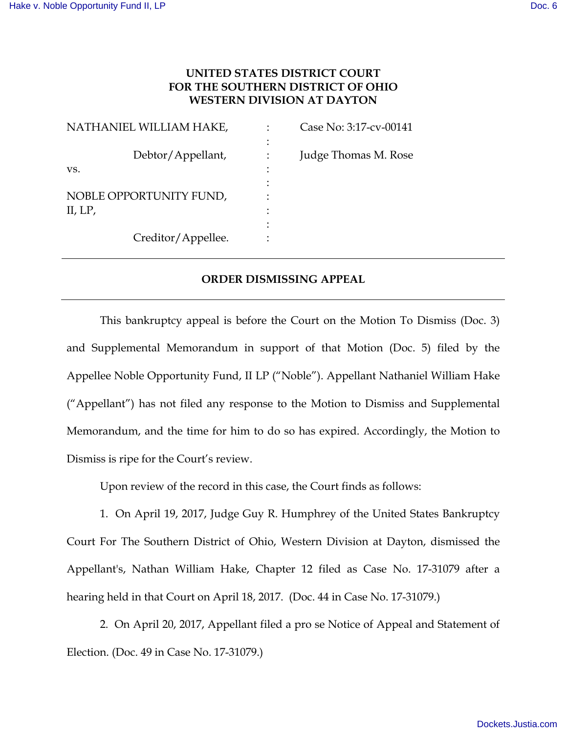## **UNITED STATES DISTRICT COURT FOR THE SOUTHERN DISTRICT OF OHIO WESTERN DIVISION AT DAYTON**

| NATHANIEL WILLIAM HAKE, |                    |   | Case No: 3:17-cv-00141 |
|-------------------------|--------------------|---|------------------------|
|                         |                    |   |                        |
| VS.                     | Debtor/Appellant,  | ٠ | Judge Thomas M. Rose   |
|                         |                    |   |                        |
| NOBLE OPPORTUNITY FUND, |                    |   |                        |
| II, $LP$ ,              |                    |   |                        |
|                         |                    |   |                        |
|                         | Creditor/Appellee. |   |                        |

## **ORDER DISMISSING APPEAL**

 This bankruptcy appeal is before the Court on the Motion To Dismiss (Doc. 3) and Supplemental Memorandum in support of that Motion (Doc. 5) filed by the Appellee Noble Opportunity Fund, II LP ("Noble"). Appellant Nathaniel William Hake ("Appellant") has not filed any response to the Motion to Dismiss and Supplemental Memorandum, and the time for him to do so has expired. Accordingly, the Motion to Dismiss is ripe for the Court's review.

Upon review of the record in this case, the Court finds as follows:

 1. On April 19, 2017, Judge Guy R. Humphrey of the United States Bankruptcy Court For The Southern District of Ohio, Western Division at Dayton, dismissed the Appellant's, Nathan William Hake, Chapter 12 filed as Case No. 17-31079 after a hearing held in that Court on April 18, 2017. (Doc. 44 in Case No. 17-31079.)

 2. On April 20, 2017, Appellant filed a pro se Notice of Appeal and Statement of Election. (Doc. 49 in Case No. 17-31079.)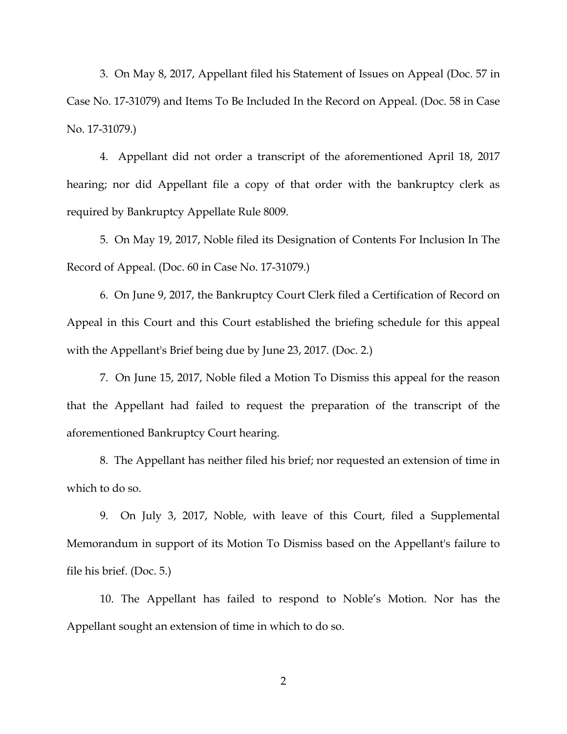3. On May 8, 2017, Appellant filed his Statement of Issues on Appeal (Doc. 57 in Case No. 17-31079) and Items To Be Included In the Record on Appeal. (Doc. 58 in Case No. 17-31079.)

 4. Appellant did not order a transcript of the aforementioned April 18, 2017 hearing; nor did Appellant file a copy of that order with the bankruptcy clerk as required by Bankruptcy Appellate Rule 8009.

 5. On May 19, 2017, Noble filed its Designation of Contents For Inclusion In The Record of Appeal. (Doc. 60 in Case No. 17-31079.)

 6. On June 9, 2017, the Bankruptcy Court Clerk filed a Certification of Record on Appeal in this Court and this Court established the briefing schedule for this appeal with the Appellant's Brief being due by June 23, 2017. (Doc. 2.)

 7. On June 15, 2017, Noble filed a Motion To Dismiss this appeal for the reason that the Appellant had failed to request the preparation of the transcript of the aforementioned Bankruptcy Court hearing.

 8. The Appellant has neither filed his brief; nor requested an extension of time in which to do so.

 9. On July 3, 2017, Noble, with leave of this Court, filed a Supplemental Memorandum in support of its Motion To Dismiss based on the Appellant's failure to file his brief. (Doc. 5.)

 10. The Appellant has failed to respond to Noble's Motion. Nor has the Appellant sought an extension of time in which to do so.

2